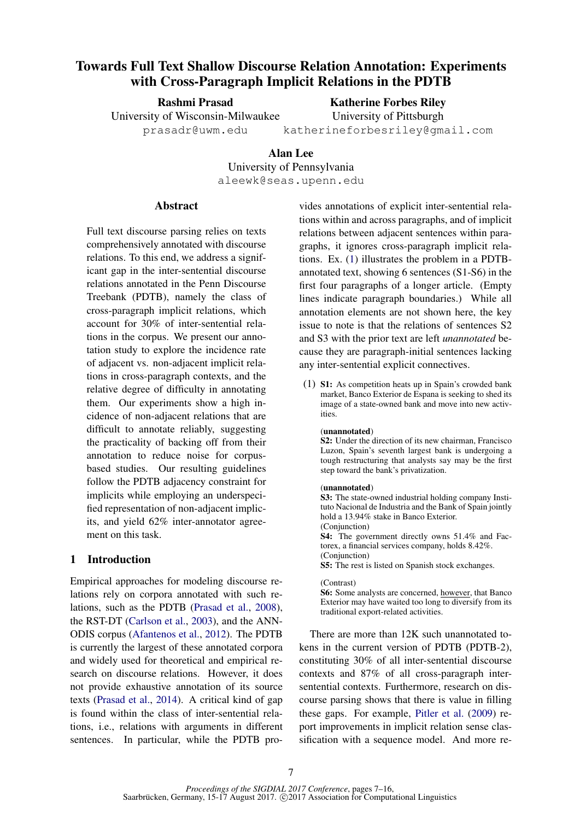# Towards Full Text Shallow Discourse Relation Annotation: Experiments with Cross-Paragraph Implicit Relations in the PDTB

Rashmi Prasad

Katherine Forbes Riley University of Pittsburgh

University of Wisconsin-Milwaukee prasadr@uwm.edu

katherineforbesriley@gmail.com

## Alan Lee

University of Pennsylvania

aleewk@seas.upenn.edu

### **Abstract**

Full text discourse parsing relies on texts comprehensively annotated with discourse relations. To this end, we address a significant gap in the inter-sentential discourse relations annotated in the Penn Discourse Treebank (PDTB), namely the class of cross-paragraph implicit relations, which account for 30% of inter-sentential relations in the corpus. We present our annotation study to explore the incidence rate of adjacent vs. non-adjacent implicit relations in cross-paragraph contexts, and the relative degree of difficulty in annotating them. Our experiments show a high incidence of non-adjacent relations that are difficult to annotate reliably, suggesting the practicality of backing off from their annotation to reduce noise for corpusbased studies. Our resulting guidelines follow the PDTB adjacency constraint for implicits while employing an underspecified representation of non-adjacent implicits, and yield 62% inter-annotator agreement on this task.

## 1 Introduction

Empirical approaches for modeling discourse relations rely on corpora annotated with such relations, such as the PDTB (Prasad et al., 2008), the RST-DT (Carlson et al., 2003), and the ANN-ODIS corpus (Afantenos et al., 2012). The PDTB is currently the largest of these annotated corpora and widely used for theoretical and empirical research on discourse relations. However, it does not provide exhaustive annotation of its source texts (Prasad et al., 2014). A critical kind of gap is found within the class of inter-sentential relations, i.e., relations with arguments in different sentences. In particular, while the PDTB provides annotations of explicit inter-sentential relations within and across paragraphs, and of implicit relations between adjacent sentences within paragraphs, it ignores cross-paragraph implicit relations. Ex. (1) illustrates the problem in a PDTBannotated text, showing 6 sentences (S1-S6) in the first four paragraphs of a longer article. (Empty lines indicate paragraph boundaries.) While all annotation elements are not shown here, the key issue to note is that the relations of sentences S2 and S3 with the prior text are left *unannotated* because they are paragraph-initial sentences lacking any inter-sentential explicit connectives.

(1) S1: As competition heats up in Spain's crowded bank market, Banco Exterior de Espana is seeking to shed its image of a state-owned bank and move into new activities.

### (unannotated)

S2: Under the direction of its new chairman, Francisco Luzon, Spain's seventh largest bank is undergoing a tough restructuring that analysts say may be the first step toward the bank's privatization.

#### (unannotated)

S3: The state-owned industrial holding company Instituto Nacional de Industria and the Bank of Spain jointly hold a 13.94% stake in Banco Exterior. (Conjunction)

S4: The government directly owns 51.4% and Factorex, a financial services company, holds 8.42%. (Conjunction)

S5: The rest is listed on Spanish stock exchanges.

#### (Contrast)

S6: Some analysts are concerned, however, that Banco Exterior may have waited too long to diversify from its traditional export-related activities.

There are more than 12K such unannotated tokens in the current version of PDTB (PDTB-2), constituting 30% of all inter-sentential discourse contexts and 87% of all cross-paragraph intersentential contexts. Furthermore, research on discourse parsing shows that there is value in filling these gaps. For example, Pitler et al. (2009) report improvements in implicit relation sense classification with a sequence model. And more re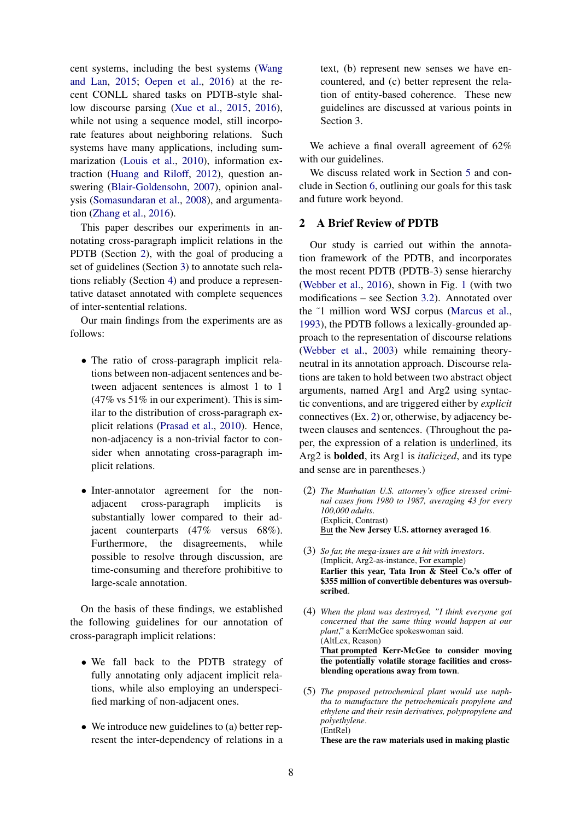cent systems, including the best systems (Wang and Lan, 2015; Oepen et al., 2016) at the recent CONLL shared tasks on PDTB-style shallow discourse parsing (Xue et al., 2015, 2016), while not using a sequence model, still incorporate features about neighboring relations. Such systems have many applications, including summarization (Louis et al., 2010), information extraction (Huang and Riloff, 2012), question answering (Blair-Goldensohn, 2007), opinion analysis (Somasundaran et al., 2008), and argumentation (Zhang et al., 2016).

This paper describes our experiments in annotating cross-paragraph implicit relations in the PDTB (Section 2), with the goal of producing a set of guidelines (Section 3) to annotate such relations reliably (Section 4) and produce a representative dataset annotated with complete sequences of inter-sentential relations.

Our main findings from the experiments are as follows:

- The ratio of cross-paragraph implicit relations between non-adjacent sentences and between adjacent sentences is almost 1 to 1 (47% vs 51% in our experiment). This is similar to the distribution of cross-paragraph explicit relations (Prasad et al., 2010). Hence, non-adjacency is a non-trivial factor to consider when annotating cross-paragraph implicit relations.
- Inter-annotator agreement for the non-<br>adjacent cross-paragraph implicits is cross-paragraph substantially lower compared to their adjacent counterparts (47% versus 68%). Furthermore, the disagreements, while possible to resolve through discussion, are time-consuming and therefore prohibitive to large-scale annotation.

On the basis of these findings, we established the following guidelines for our annotation of cross-paragraph implicit relations:

- We fall back to the PDTB strategy of fully annotating only adjacent implicit relations, while also employing an underspecified marking of non-adjacent ones.
- We introduce new guidelines to (a) better represent the inter-dependency of relations in a

text, (b) represent new senses we have encountered, and (c) better represent the relation of entity-based coherence. These new guidelines are discussed at various points in Section 3.

We achieve a final overall agreement of 62% with our guidelines.

We discuss related work in Section 5 and conclude in Section 6, outlining our goals for this task and future work beyond.

## 2 A Brief Review of PDTB

Our study is carried out within the annotation framework of the PDTB, and incorporates the most recent PDTB (PDTB-3) sense hierarchy (Webber et al., 2016), shown in Fig. 1 (with two modifications – see Section 3.2). Annotated over the ˜1 million word WSJ corpus (Marcus et al., 1993), the PDTB follows a lexically-grounded approach to the representation of discourse relations (Webber et al., 2003) while remaining theoryneutral in its annotation approach. Discourse relations are taken to hold between two abstract object arguments, named Arg1 and Arg2 using syntactic conventions, and are triggered either by *explicit* connectives (Ex. 2) or, otherwise, by adjacency between clauses and sentences. (Throughout the paper, the expression of a relation is underlined, its Arg2 is bolded, its Arg1 is *italicized*, and its type and sense are in parentheses.)

- (2) *The Manhattan U.S. attorney's office stressed criminal cases from 1980 to 1987, averaging 43 for every 100,000 adults*. (Explicit, Contrast) But the New Jersey U.S. attorney averaged 16.
- (3) *So far, the mega-issues are a hit with investors*. (Implicit, Arg2-as-instance, For example) Earlier this year, Tata Iron & Steel Co.'s offer of \$355 million of convertible debentures was oversubscribed.
- (4) *When the plant was destroyed, "I think everyone got concerned that the same thing would happen at our plant*," a KerrMcGee spokeswoman said. (AltLex, Reason) That prompted Kerr-McGee to consider moving the potentially volatile storage facilities and crossblending operations away from town.
- (5) *The proposed petrochemical plant would use naphtha to manufacture the petrochemicals propylene and ethylene and their resin derivatives, polypropylene and polyethylene*. (EntRel)

These are the raw materials used in making plastic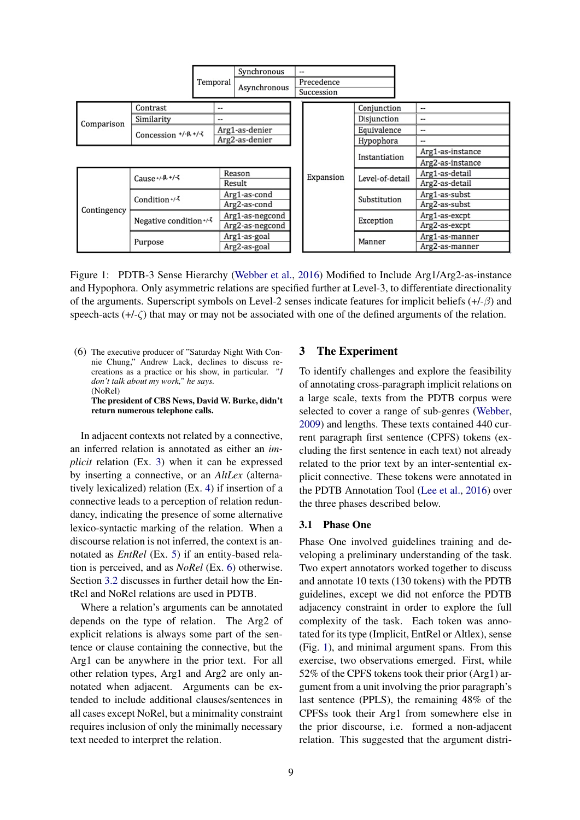|             |                                 |          | Synchronous     |  | --         |                 |                  |
|-------------|---------------------------------|----------|-----------------|--|------------|-----------------|------------------|
|             |                                 | Temporal | Asynchronous    |  | Precedence |                 |                  |
|             |                                 |          |                 |  | Succession |                 |                  |
|             | Contrast                        | --       |                 |  |            | Conjunction     | --               |
| Comparison  | Similarity<br>--                |          |                 |  |            | Disjunction     | --               |
|             | Concession $+/-\beta, +/-\zeta$ |          | Arg1-as-denier  |  |            | Equivalence     | --               |
|             |                                 |          | Arg2-as-denier  |  |            | Hypophora       |                  |
|             |                                 |          |                 |  |            | Instantiation   | Arg1-as-instance |
|             |                                 |          |                 |  |            |                 | Arg2-as-instance |
| Contingency | Cause +/- $\beta$ , +/- $\zeta$ |          | Reason          |  | Expansion  | Level-of-detail | Arg1-as-detail   |
|             |                                 |          | Result          |  |            |                 | Arg2-as-detail   |
|             | Condition $+/-$                 |          | Arg1-as-cond    |  |            | Substitution    | Arg1-as-subst    |
|             |                                 |          | Arg2-as-cond    |  |            |                 | Arg2-as-subst    |
|             | Negative condition */- 3        |          | Arg1-as-negcond |  |            | Exception       | Arg1-as-excpt    |
|             |                                 |          | Arg2-as-negcond |  |            |                 | Arg2-as-excpt    |
|             | Purpose                         |          | Arg1-as-goal    |  |            | Manner          | Arg1-as-manner   |
|             |                                 |          | Arg2-as-goal    |  |            |                 | Arg2-as-manner   |

Figure 1: PDTB-3 Sense Hierarchy (Webber et al., 2016) Modified to Include Arg1/Arg2-as-instance and Hypophora. Only asymmetric relations are specified further at Level-3, to differentiate directionality of the arguments. Superscript symbols on Level-2 senses indicate features for implicit beliefs  $(+/-\beta)$  and speech-acts  $(+/-\zeta)$  that may or may not be associated with one of the defined arguments of the relation.

(6) The executive producer of "Saturday Night With Connie Chung," Andrew Lack, declines to discuss recreations as a practice or his show, in particular. *"I don't talk about my work," he says.* (NoRel)

The president of CBS News, David W. Burke, didn't return numerous telephone calls.

In adjacent contexts not related by a connective, an inferred relation is annotated as either an *implicit* relation (Ex. 3) when it can be expressed by inserting a connective, or an *AltLex* (alternatively lexicalized) relation (Ex. 4) if insertion of a connective leads to a perception of relation redundancy, indicating the presence of some alternative lexico-syntactic marking of the relation. When a discourse relation is not inferred, the context is annotated as *EntRel* (Ex. 5) if an entity-based relation is perceived, and as *NoRel* (Ex. 6) otherwise. Section 3.2 discusses in further detail how the EntRel and NoRel relations are used in PDTB.

Where a relation's arguments can be annotated depends on the type of relation. The Arg2 of explicit relations is always some part of the sentence or clause containing the connective, but the Arg1 can be anywhere in the prior text. For all other relation types, Arg1 and Arg2 are only annotated when adjacent. Arguments can be extended to include additional clauses/sentences in all cases except NoRel, but a minimality constraint requires inclusion of only the minimally necessary text needed to interpret the relation.

## 3 The Experiment

To identify challenges and explore the feasibility of annotating cross-paragraph implicit relations on a large scale, texts from the PDTB corpus were selected to cover a range of sub-genres (Webber, 2009) and lengths. These texts contained 440 current paragraph first sentence (CPFS) tokens (excluding the first sentence in each text) not already related to the prior text by an inter-sentential explicit connective. These tokens were annotated in the PDTB Annotation Tool (Lee et al., 2016) over the three phases described below.

## 3.1 Phase One

Phase One involved guidelines training and developing a preliminary understanding of the task. Two expert annotators worked together to discuss and annotate 10 texts (130 tokens) with the PDTB guidelines, except we did not enforce the PDTB adjacency constraint in order to explore the full complexity of the task. Each token was annotated for its type (Implicit, EntRel or Altlex), sense (Fig. 1), and minimal argument spans. From this exercise, two observations emerged. First, while 52% of the CPFS tokens took their prior (Arg1) argument from a unit involving the prior paragraph's last sentence (PPLS), the remaining 48% of the CPFSs took their Arg1 from somewhere else in the prior discourse, i.e. formed a non-adjacent relation. This suggested that the argument distri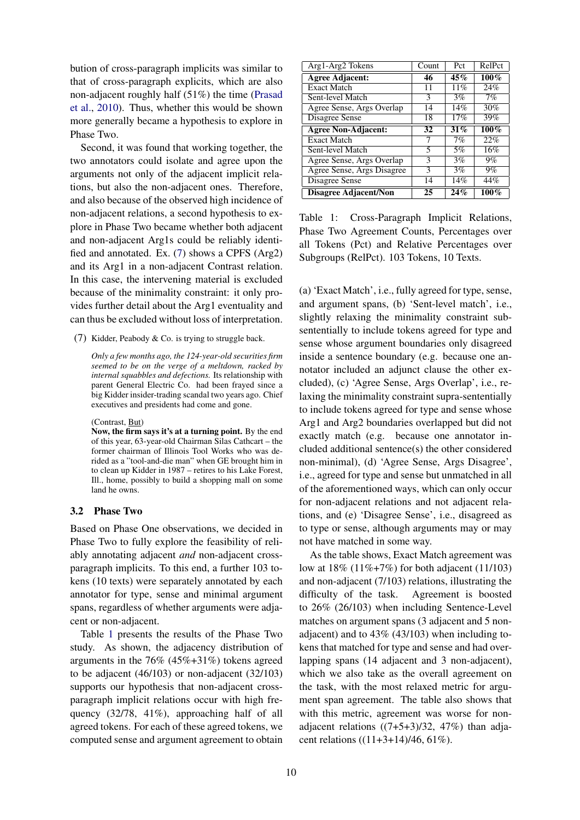bution of cross-paragraph implicits was similar to that of cross-paragraph explicits, which are also non-adjacent roughly half (51%) the time (Prasad et al., 2010). Thus, whether this would be shown more generally became a hypothesis to explore in Phase Two.

Second, it was found that working together, the two annotators could isolate and agree upon the arguments not only of the adjacent implicit relations, but also the non-adjacent ones. Therefore, and also because of the observed high incidence of non-adjacent relations, a second hypothesis to explore in Phase Two became whether both adjacent and non-adjacent Arg1s could be reliably identified and annotated. Ex. (7) shows a CPFS (Arg2) and its Arg1 in a non-adjacent Contrast relation. In this case, the intervening material is excluded because of the minimality constraint: it only provides further detail about the Arg1 eventuality and can thus be excluded without loss of interpretation.

(7) Kidder, Peabody & Co. is trying to struggle back.

*Only a few months ago, the 124-year-old securities firm seemed to be on the verge of a meltdown, racked by internal squabbles and defections.* Its relationship with parent General Electric Co. had been frayed since a big Kidder insider-trading scandal two years ago. Chief executives and presidents had come and gone.

#### (Contrast, But)

Now, the firm says it's at a turning point. By the end of this year, 63-year-old Chairman Silas Cathcart – the former chairman of Illinois Tool Works who was derided as a "tool-and-die man" when GE brought him in to clean up Kidder in 1987 – retires to his Lake Forest, Ill., home, possibly to build a shopping mall on some land he owns.

### 3.2 Phase Two

Based on Phase One observations, we decided in Phase Two to fully explore the feasibility of reliably annotating adjacent *and* non-adjacent crossparagraph implicits. To this end, a further 103 tokens (10 texts) were separately annotated by each annotator for type, sense and minimal argument spans, regardless of whether arguments were adjacent or non-adjacent.

Table 1 presents the results of the Phase Two study. As shown, the adjacency distribution of arguments in the 76% (45%+31%) tokens agreed to be adjacent (46/103) or non-adjacent (32/103) supports our hypothesis that non-adjacent crossparagraph implicit relations occur with high frequency (32/78, 41%), approaching half of all agreed tokens. For each of these agreed tokens, we computed sense and argument agreement to obtain

| Arg1-Arg2 Tokens             | Count | Pct | RelPct  |
|------------------------------|-------|-----|---------|
| <b>Agree Adjacent:</b>       | 46    | 45% | $100\%$ |
| <b>Exact Match</b>           | 11    | 11% | 24%     |
| Sent-level Match             | 3     | 3%  | 7%      |
| Agree Sense, Args Overlap    | 14    | 14% | 30%     |
| Disagree Sense               | 18    | 17% | 39%     |
| <b>Agree Non-Adjacent:</b>   | 32    | 31% | $100\%$ |
| <b>Exact Match</b>           |       | 7%  | 22%     |
| Sent-level Match             | 5     | 5%  | 16%     |
| Agree Sense, Args Overlap    | 3     | 3%  | $9\%$   |
| Agree Sense, Args Disagree   | 3     | 3%  | $9\%$   |
| Disagree Sense               | 14    | 14% | 44%     |
| <b>Disagree Adjacent/Non</b> | 25    | 24% | $100\%$ |

Table 1: Cross-Paragraph Implicit Relations, Phase Two Agreement Counts, Percentages over all Tokens (Pct) and Relative Percentages over Subgroups (RelPct). 103 Tokens, 10 Texts.

(a) 'Exact Match', i.e., fully agreed for type, sense, and argument spans, (b) 'Sent-level match', i.e., slightly relaxing the minimality constraint subsententially to include tokens agreed for type and sense whose argument boundaries only disagreed inside a sentence boundary (e.g. because one annotator included an adjunct clause the other excluded), (c) 'Agree Sense, Args Overlap', i.e., relaxing the minimality constraint supra-sententially to include tokens agreed for type and sense whose Arg1 and Arg2 boundaries overlapped but did not exactly match (e.g. because one annotator included additional sentence(s) the other considered non-minimal), (d) 'Agree Sense, Args Disagree', i.e., agreed for type and sense but unmatched in all of the aforementioned ways, which can only occur for non-adjacent relations and not adjacent relations, and (e) 'Disagree Sense', i.e., disagreed as to type or sense, although arguments may or may not have matched in some way.

As the table shows, Exact Match agreement was low at 18% (11%+7%) for both adjacent (11/103) and non-adjacent (7/103) relations, illustrating the difficulty of the task. Agreement is boosted to 26% (26/103) when including Sentence-Level matches on argument spans (3 adjacent and 5 nonadjacent) and to 43% (43/103) when including tokens that matched for type and sense and had overlapping spans (14 adjacent and 3 non-adjacent), which we also take as the overall agreement on the task, with the most relaxed metric for argument span agreement. The table also shows that with this metric, agreement was worse for nonadjacent relations  $((7+5+3)/32, 47%)$  than adjacent relations  $((11+3+14)/46, 61\%).$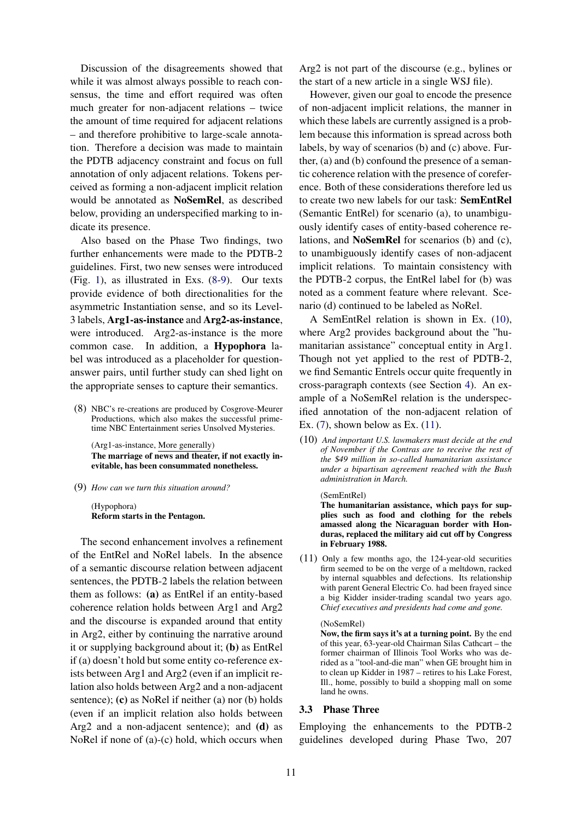Discussion of the disagreements showed that while it was almost always possible to reach consensus, the time and effort required was often much greater for non-adjacent relations – twice the amount of time required for adjacent relations – and therefore prohibitive to large-scale annotation. Therefore a decision was made to maintain the PDTB adjacency constraint and focus on full annotation of only adjacent relations. Tokens perceived as forming a non-adjacent implicit relation would be annotated as NoSemRel, as described below, providing an underspecified marking to indicate its presence.

Also based on the Phase Two findings, two further enhancements were made to the PDTB-2 guidelines. First, two new senses were introduced (Fig. 1), as illustrated in Exs. (8-9). Our texts provide evidence of both directionalities for the asymmetric Instantiation sense, and so its Level-3 labels, Arg1-as-instance and Arg2-as-instance, were introduced. Arg2-as-instance is the more common case. In addition, a Hypophora label was introduced as a placeholder for questionanswer pairs, until further study can shed light on the appropriate senses to capture their semantics.

(8) NBC's re-creations are produced by Cosgrove-Meurer Productions, which also makes the successful primetime NBC Entertainment series Unsolved Mysteries.

(Arg1-as-instance, More generally) The marriage of news and theater, if not exactly inevitable, has been consummated nonetheless.

(9) *How can we turn this situation around?*

(Hypophora) Reform starts in the Pentagon.

The second enhancement involves a refinement of the EntRel and NoRel labels. In the absence of a semantic discourse relation between adjacent sentences, the PDTB-2 labels the relation between them as follows: (a) as EntRel if an entity-based coherence relation holds between Arg1 and Arg2 and the discourse is expanded around that entity in Arg2, either by continuing the narrative around it or supplying background about it; (b) as EntRel if (a) doesn't hold but some entity co-reference exists between Arg1 and Arg2 (even if an implicit relation also holds between Arg2 and a non-adjacent sentence); (c) as NoRel if neither (a) nor (b) holds (even if an implicit relation also holds between Arg2 and a non-adjacent sentence); and (d) as NoRel if none of (a)-(c) hold, which occurs when

Arg2 is not part of the discourse (e.g., bylines or the start of a new article in a single WSJ file).

However, given our goal to encode the presence of non-adjacent implicit relations, the manner in which these labels are currently assigned is a problem because this information is spread across both labels, by way of scenarios (b) and (c) above. Further, (a) and (b) confound the presence of a semantic coherence relation with the presence of coreference. Both of these considerations therefore led us to create two new labels for our task: SemEntRel (Semantic EntRel) for scenario (a), to unambiguously identify cases of entity-based coherence relations, and NoSemRel for scenarios (b) and (c), to unambiguously identify cases of non-adjacent implicit relations. To maintain consistency with the PDTB-2 corpus, the EntRel label for (b) was noted as a comment feature where relevant. Scenario (d) continued to be labeled as NoRel.

A SemEntRel relation is shown in Ex. (10), where Arg2 provides background about the "humanitarian assistance" conceptual entity in Arg1. Though not yet applied to the rest of PDTB-2, we find Semantic Entrels occur quite frequently in cross-paragraph contexts (see Section 4). An example of a NoSemRel relation is the underspecified annotation of the non-adjacent relation of Ex.  $(7)$ , shown below as Ex.  $(11)$ .

(10) *And important U.S. lawmakers must decide at the end of November if the Contras are to receive the rest of the* \$*49 million in so-called humanitarian assistance under a bipartisan agreement reached with the Bush administration in March.*

#### (SemEntRel)

The humanitarian assistance, which pays for supplies such as food and clothing for the rebels amassed along the Nicaraguan border with Honduras, replaced the military aid cut off by Congress in February 1988.

(11) Only a few months ago, the 124-year-old securities firm seemed to be on the verge of a meltdown, racked by internal squabbles and defections. Its relationship with parent General Electric Co. had been frayed since a big Kidder insider-trading scandal two years ago. *Chief executives and presidents had come and gone.*

#### (NoSemRel)

Now, the firm says it's at a turning point. By the end of this year, 63-year-old Chairman Silas Cathcart – the former chairman of Illinois Tool Works who was derided as a "tool-and-die man" when GE brought him in to clean up Kidder in 1987 – retires to his Lake Forest, Ill., home, possibly to build a shopping mall on some land he owns.

## 3.3 Phase Three

Employing the enhancements to the PDTB-2 guidelines developed during Phase Two, 207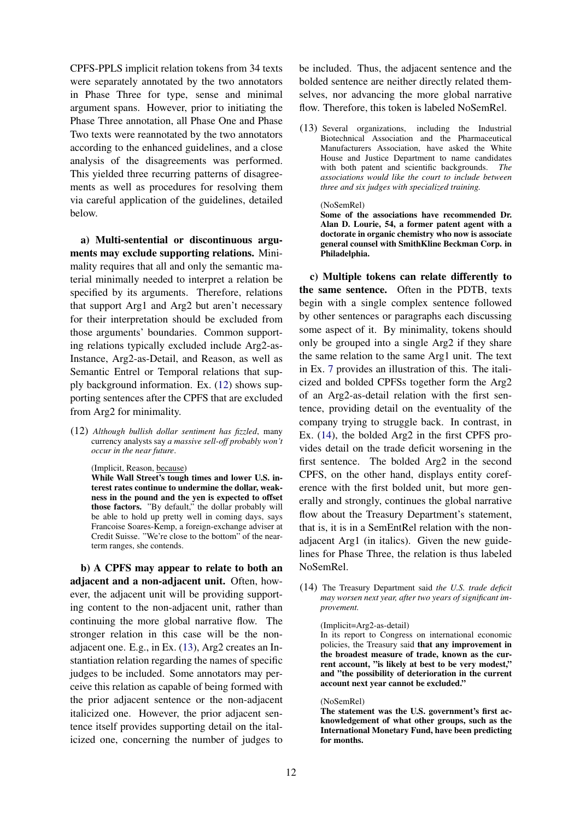CPFS-PPLS implicit relation tokens from 34 texts were separately annotated by the two annotators in Phase Three for type, sense and minimal argument spans. However, prior to initiating the Phase Three annotation, all Phase One and Phase Two texts were reannotated by the two annotators according to the enhanced guidelines, and a close analysis of the disagreements was performed. This yielded three recurring patterns of disagreements as well as procedures for resolving them via careful application of the guidelines, detailed below.

a) Multi-sentential or discontinuous arguments may exclude supporting relations. Minimality requires that all and only the semantic material minimally needed to interpret a relation be specified by its arguments. Therefore, relations that support Arg1 and Arg2 but aren't necessary for their interpretation should be excluded from those arguments' boundaries. Common supporting relations typically excluded include Arg2-as-Instance, Arg2-as-Detail, and Reason, as well as Semantic Entrel or Temporal relations that supply background information. Ex. (12) shows supporting sentences after the CPFS that are excluded from Arg2 for minimality.

(12) *Although bullish dollar sentiment has fizzled*, many currency analysts say *a massive sell-off probably won't occur in the near future*.

(Implicit, Reason, because)

While Wall Street's tough times and lower U.S. interest rates continue to undermine the dollar, weakness in the pound and the yen is expected to offset those factors. "By default," the dollar probably will be able to hold up pretty well in coming days, says Francoise Soares-Kemp, a foreign-exchange adviser at Credit Suisse. "We're close to the bottom" of the nearterm ranges, she contends.

b) A CPFS may appear to relate to both an adjacent and a non-adjacent unit. Often, however, the adjacent unit will be providing supporting content to the non-adjacent unit, rather than continuing the more global narrative flow. The stronger relation in this case will be the nonadjacent one. E.g., in Ex. (13), Arg2 creates an Instantiation relation regarding the names of specific judges to be included. Some annotators may perceive this relation as capable of being formed with the prior adjacent sentence or the non-adjacent italicized one. However, the prior adjacent sentence itself provides supporting detail on the italicized one, concerning the number of judges to be included. Thus, the adjacent sentence and the bolded sentence are neither directly related themselves, nor advancing the more global narrative flow. Therefore, this token is labeled NoSemRel.

- (13) Several organizations, including the Industrial Biotechnical Association and the Pharmaceutical Manufacturers Association, have asked the White House and Justice Department to name candidates with both patent and scientific backgrounds. *The associations would like the court to include between three and six judges with specialized training.*
	- (NoSemRel)

Some of the associations have recommended Dr. Alan D. Lourie, 54, a former patent agent with a doctorate in organic chemistry who now is associate general counsel with SmithKline Beckman Corp. in Philadelphia.

c) Multiple tokens can relate differently to the same sentence. Often in the PDTB, texts begin with a single complex sentence followed by other sentences or paragraphs each discussing some aspect of it. By minimality, tokens should only be grouped into a single Arg2 if they share the same relation to the same Arg1 unit. The text in Ex. 7 provides an illustration of this. The italicized and bolded CPFSs together form the Arg2 of an Arg2-as-detail relation with the first sentence, providing detail on the eventuality of the company trying to struggle back. In contrast, in Ex. (14), the bolded Arg2 in the first CPFS provides detail on the trade deficit worsening in the first sentence. The bolded Arg2 in the second CPFS, on the other hand, displays entity coreference with the first bolded unit, but more generally and strongly, continues the global narrative flow about the Treasury Department's statement, that is, it is in a SemEntRel relation with the nonadjacent Arg1 (in italics). Given the new guidelines for Phase Three, the relation is thus labeled NoSemRel.

(14) The Treasury Department said *the U.S. trade deficit may worsen next year, after two years of significant improvement.*

#### (Implicit=Arg2-as-detail)

In its report to Congress on international economic policies, the Treasury said that any improvement in the broadest measure of trade, known as the current account, "is likely at best to be very modest," and "the possibility of deterioration in the current account next year cannot be excluded."

#### (NoSemRel)

The statement was the U.S. government's first acknowledgement of what other groups, such as the International Monetary Fund, have been predicting for months.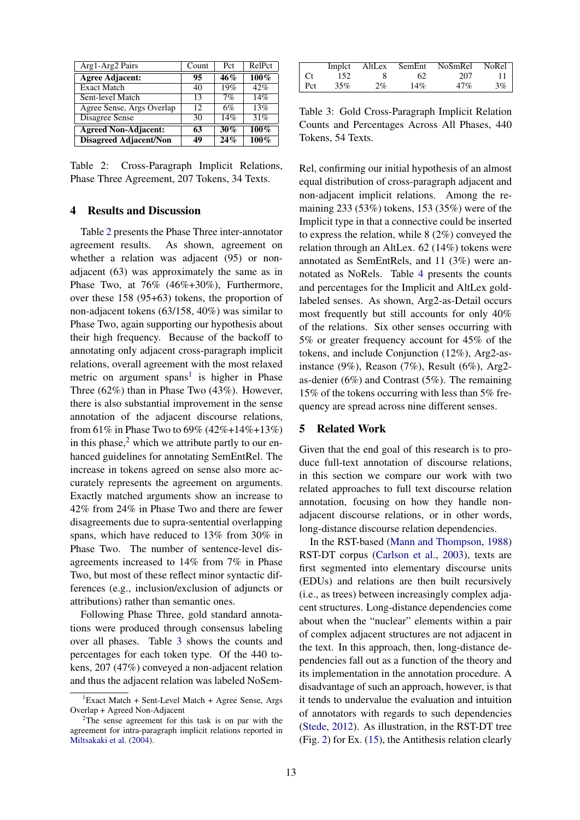| Arg1-Arg2 Pairs               | Count | Pct    | RelPct  |
|-------------------------------|-------|--------|---------|
| <b>Agree Adjacent:</b>        | 95    | 46%    | $100\%$ |
| <b>Exact Match</b>            | 40    | 19%    | 42%     |
| Sent-level Match              | 13    | 7%     | 14%     |
| Agree Sense, Args Overlap     | 12    | 6%     | 13%     |
| Disagree Sense                | 30    | 14%    | 31%     |
| <b>Agreed Non-Adjacent:</b>   | 63    | 30%    | 100%    |
| <b>Disagreed Adjacent/Non</b> | 49    | $24\%$ | $100\%$ |

Table 2: Cross-Paragraph Implicit Relations, Phase Three Agreement, 207 Tokens, 34 Texts.

## 4 Results and Discussion

Table 2 presents the Phase Three inter-annotator agreement results. As shown, agreement on whether a relation was adjacent (95) or nonadjacent (63) was approximately the same as in Phase Two, at 76% (46%+30%), Furthermore, over these 158 (95+63) tokens, the proportion of non-adjacent tokens (63/158, 40%) was similar to Phase Two, again supporting our hypothesis about their high frequency. Because of the backoff to annotating only adjacent cross-paragraph implicit relations, overall agreement with the most relaxed metric on argument spans<sup>1</sup> is higher in Phase Three (62%) than in Phase Two (43%). However, there is also substantial improvement in the sense annotation of the adjacent discourse relations, from 61% in Phase Two to 69% (42%+14%+13%) in this phase, $<sup>2</sup>$  which we attribute partly to our en-</sup> hanced guidelines for annotating SemEntRel. The increase in tokens agreed on sense also more accurately represents the agreement on arguments. Exactly matched arguments show an increase to 42% from 24% in Phase Two and there are fewer disagreements due to supra-sentential overlapping spans, which have reduced to 13% from 30% in Phase Two. The number of sentence-level disagreements increased to 14% from 7% in Phase Two, but most of these reflect minor syntactic differences (e.g., inclusion/exclusion of adjuncts or attributions) rather than semantic ones.

Following Phase Three, gold standard annotations were produced through consensus labeling over all phases. Table 3 shows the counts and percentages for each token type. Of the 440 tokens, 207 (47%) conveyed a non-adjacent relation and thus the adjacent relation was labeled NoSem-

|     | Implct | AltLex | SemEnt | NoSmRel | NoRel |
|-----|--------|--------|--------|---------|-------|
|     | 152    |        | 62     | 207     |       |
| Pct | 35%    | 2%     | 14%    | 47%     | 3%    |

Table 3: Gold Cross-Paragraph Implicit Relation Counts and Percentages Across All Phases, 440 Tokens, 54 Texts.

Rel, confirming our initial hypothesis of an almost equal distribution of cross-paragraph adjacent and non-adjacent implicit relations. Among the remaining 233 (53%) tokens, 153 (35%) were of the Implicit type in that a connective could be inserted to express the relation, while 8 (2%) conveyed the relation through an AltLex. 62 (14%) tokens were annotated as SemEntRels, and 11 (3%) were annotated as NoRels. Table 4 presents the counts and percentages for the Implicit and AltLex goldlabeled senses. As shown, Arg2-as-Detail occurs most frequently but still accounts for only 40% of the relations. Six other senses occurring with 5% or greater frequency account for 45% of the tokens, and include Conjunction (12%), Arg2-asinstance (9%), Reason (7%), Result (6%), Arg2 as-denier (6%) and Contrast (5%). The remaining 15% of the tokens occurring with less than 5% frequency are spread across nine different senses.

### 5 Related Work

Given that the end goal of this research is to produce full-text annotation of discourse relations, in this section we compare our work with two related approaches to full text discourse relation annotation, focusing on how they handle nonadjacent discourse relations, or in other words, long-distance discourse relation dependencies.

In the RST-based (Mann and Thompson, 1988) RST-DT corpus (Carlson et al., 2003), texts are first segmented into elementary discourse units (EDUs) and relations are then built recursively (i.e., as trees) between increasingly complex adjacent structures. Long-distance dependencies come about when the "nuclear" elements within a pair of complex adjacent structures are not adjacent in the text. In this approach, then, long-distance dependencies fall out as a function of the theory and its implementation in the annotation procedure. A disadvantage of such an approach, however, is that it tends to undervalue the evaluation and intuition of annotators with regards to such dependencies (Stede, 2012). As illustration, in the RST-DT tree (Fig. 2) for Ex. (15), the Antithesis relation clearly

 ${}^{1}$ Exact Match + Sent-Level Match + Agree Sense, Args Overlap + Agreed Non-Adjacent

<sup>2</sup>The sense agreement for this task is on par with the agreement for intra-paragraph implicit relations reported in Miltsakaki et al. (2004).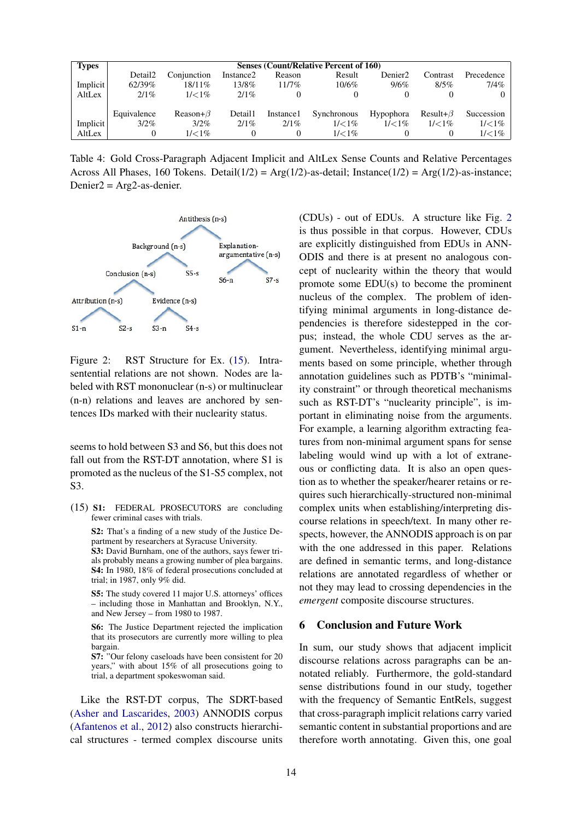| <b>Types</b> | <b>Senses (Count/Relative Percent of 160)</b> |                 |                       |            |             |                     |                 |                   |  |
|--------------|-----------------------------------------------|-----------------|-----------------------|------------|-------------|---------------------|-----------------|-------------------|--|
|              | Detail2                                       | Conjunction     | Instance <sub>2</sub> | Reason     | Result      | Denier <sub>2</sub> | Contrast        | Precedence        |  |
| Implicit     | 62/39%                                        | $18/11\%$       | $13/8\%$              | $11/7\%$   | $10/6\%$    | 9/6%                | $8/5\%$         | $7/4\%$           |  |
| AltLex       | $2/1\%$                                       | $1/< 1\%$       | $2/1\%$               |            | $\theta$    |                     |                 |                   |  |
|              |                                               |                 |                       |            |             |                     |                 |                   |  |
|              | Equivalence                                   | Reason+ $\beta$ | Detail1               | Instance 1 | Synchronous | Hypophora           | Result+ $\beta$ | Succession        |  |
| Implicit     | $3/2\%$                                       | $3/2\%$         | $2/1\%$               | $2/1\%$    | $1/< 1\%$   | $1/< 1\%$           | $1/< 1\%$       | $1/<\frac{1}{\%}$ |  |
| AltLex       |                                               | $1/< 1\%$       | 0                     |            | $1/< 1\%$   |                     |                 | $1/<1\%$          |  |

Table 4: Gold Cross-Paragraph Adjacent Implicit and AltLex Sense Counts and Relative Percentages Across All Phases, 160 Tokens. Detail( $1/2$ ) = Arg( $1/2$ )-as-detail; Instance( $1/2$ ) = Arg( $1/2$ )-as-instance;  $Denier2 = Arg2-as$ -denier.



Figure 2: RST Structure for Ex. (15). Intrasentential relations are not shown. Nodes are labeled with RST mononuclear (n-s) or multinuclear (n-n) relations and leaves are anchored by sentences IDs marked with their nuclearity status.

seems to hold between S3 and S6, but this does not fall out from the RST-DT annotation, where S1 is promoted as the nucleus of the S1-S5 complex, not S3.

(15) S1: FEDERAL PROSECUTORS are concluding fewer criminal cases with trials.

S2: That's a finding of a new study of the Justice Department by researchers at Syracuse University. S3: David Burnham, one of the authors, says fewer trials probably means a growing number of plea bargains. S4: In 1980, 18% of federal prosecutions concluded at trial; in 1987, only 9% did.

S5: The study covered 11 major U.S. attorneys' offices – including those in Manhattan and Brooklyn, N.Y., and New Jersey – from 1980 to 1987.

S6: The Justice Department rejected the implication that its prosecutors are currently more willing to plea bargain.

S7: "Our felony caseloads have been consistent for 20 years," with about 15% of all prosecutions going to trial, a department spokeswoman said.

Like the RST-DT corpus, The SDRT-based (Asher and Lascarides, 2003) ANNODIS corpus (Afantenos et al., 2012) also constructs hierarchical structures - termed complex discourse units

(CDUs) - out of EDUs. A structure like Fig. 2 is thus possible in that corpus. However, CDUs are explicitly distinguished from EDUs in ANN-ODIS and there is at present no analogous concept of nuclearity within the theory that would promote some EDU(s) to become the prominent nucleus of the complex. The problem of identifying minimal arguments in long-distance dependencies is therefore sidestepped in the corpus; instead, the whole CDU serves as the argument. Nevertheless, identifying minimal arguments based on some principle, whether through annotation guidelines such as PDTB's "minimality constraint" or through theoretical mechanisms such as RST-DT's "nuclearity principle", is important in eliminating noise from the arguments. For example, a learning algorithm extracting features from non-minimal argument spans for sense labeling would wind up with a lot of extraneous or conflicting data. It is also an open question as to whether the speaker/hearer retains or requires such hierarchically-structured non-minimal complex units when establishing/interpreting discourse relations in speech/text. In many other respects, however, the ANNODIS approach is on par with the one addressed in this paper. Relations are defined in semantic terms, and long-distance relations are annotated regardless of whether or not they may lead to crossing dependencies in the *emergent* composite discourse structures.

## 6 Conclusion and Future Work

In sum, our study shows that adjacent implicit discourse relations across paragraphs can be annotated reliably. Furthermore, the gold-standard sense distributions found in our study, together with the frequency of Semantic EntRels, suggest that cross-paragraph implicit relations carry varied semantic content in substantial proportions and are therefore worth annotating. Given this, one goal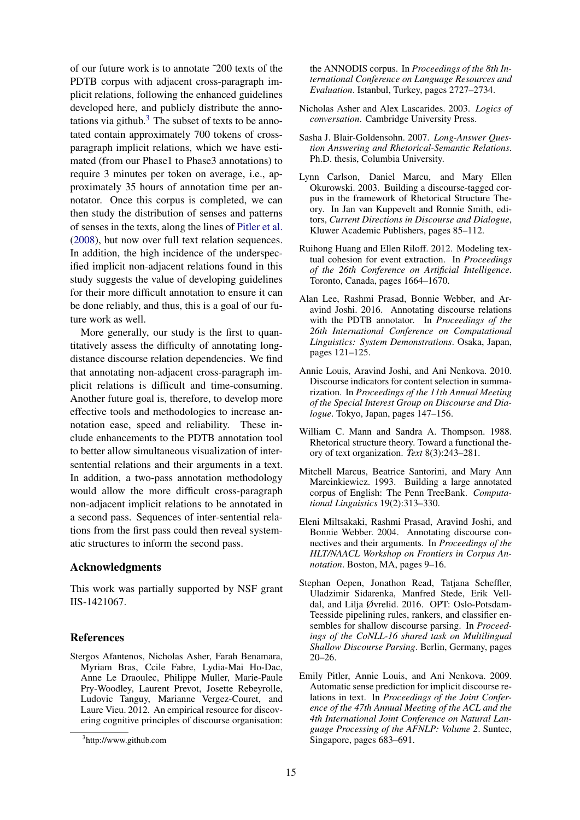of our future work is to annotate ˜200 texts of the PDTB corpus with adjacent cross-paragraph implicit relations, following the enhanced guidelines developed here, and publicly distribute the annotations via github. $3$  The subset of texts to be annotated contain approximately 700 tokens of crossparagraph implicit relations, which we have estimated (from our Phase1 to Phase3 annotations) to require 3 minutes per token on average, i.e., approximately 35 hours of annotation time per annotator. Once this corpus is completed, we can then study the distribution of senses and patterns of senses in the texts, along the lines of Pitler et al. (2008), but now over full text relation sequences. In addition, the high incidence of the underspecified implicit non-adjacent relations found in this study suggests the value of developing guidelines for their more difficult annotation to ensure it can be done reliably, and thus, this is a goal of our future work as well.

More generally, our study is the first to quantitatively assess the difficulty of annotating longdistance discourse relation dependencies. We find that annotating non-adjacent cross-paragraph implicit relations is difficult and time-consuming. Another future goal is, therefore, to develop more effective tools and methodologies to increase annotation ease, speed and reliability. These include enhancements to the PDTB annotation tool to better allow simultaneous visualization of intersentential relations and their arguments in a text. In addition, a two-pass annotation methodology would allow the more difficult cross-paragraph non-adjacent implicit relations to be annotated in a second pass. Sequences of inter-sentential relations from the first pass could then reveal systematic structures to inform the second pass.

## Acknowledgments

This work was partially supported by NSF grant IIS-1421067.

## References

Stergos Afantenos, Nicholas Asher, Farah Benamara, Myriam Bras, Ccile Fabre, Lydia-Mai Ho-Dac, Anne Le Draoulec, Philippe Muller, Marie-Paule Pry-Woodley, Laurent Prevot, Josette Rebeyrolle, Ludovic Tanguy, Marianne Vergez-Couret, and Laure Vieu. 2012. An empirical resource for discovering cognitive principles of discourse organisation:

the ANNODIS corpus. In *Proceedings of the 8th International Conference on Language Resources and Evaluation*. Istanbul, Turkey, pages 2727–2734.

- Nicholas Asher and Alex Lascarides. 2003. *Logics of conversation*. Cambridge University Press.
- Sasha J. Blair-Goldensohn. 2007. *Long-Answer Question Answering and Rhetorical-Semantic Relations*. Ph.D. thesis, Columbia University.
- Lynn Carlson, Daniel Marcu, and Mary Ellen Okurowski. 2003. Building a discourse-tagged corpus in the framework of Rhetorical Structure Theory. In Jan van Kuppevelt and Ronnie Smith, editors, *Current Directions in Discourse and Dialogue*, Kluwer Academic Publishers, pages 85–112.
- Ruihong Huang and Ellen Riloff. 2012. Modeling textual cohesion for event extraction. In *Proceedings of the 26th Conference on Artificial Intelligence*. Toronto, Canada, pages 1664–1670.
- Alan Lee, Rashmi Prasad, Bonnie Webber, and Aravind Joshi. 2016. Annotating discourse relations with the PDTB annotator. In *Proceedings of the 26th International Conference on Computational Linguistics: System Demonstrations*. Osaka, Japan, pages 121–125.
- Annie Louis, Aravind Joshi, and Ani Nenkova. 2010. Discourse indicators for content selection in summarization. In *Proceedings of the 11th Annual Meeting of the Special Interest Group on Discourse and Dialogue*. Tokyo, Japan, pages 147–156.
- William C. Mann and Sandra A. Thompson. 1988. Rhetorical structure theory. Toward a functional theory of text organization. *Text* 8(3):243–281.
- Mitchell Marcus, Beatrice Santorini, and Mary Ann Marcinkiewicz. 1993. Building a large annotated corpus of English: The Penn TreeBank. *Computational Linguistics* 19(2):313–330.
- Eleni Miltsakaki, Rashmi Prasad, Aravind Joshi, and Bonnie Webber. 2004. Annotating discourse connectives and their arguments. In *Proceedings of the HLT/NAACL Workshop on Frontiers in Corpus Annotation*. Boston, MA, pages 9–16.
- Stephan Oepen, Jonathon Read, Tatjana Scheffler, Uladzimir Sidarenka, Manfred Stede, Erik Velldal, and Lilja Øvrelid. 2016. OPT: Oslo-Potsdam-Teesside pipelining rules, rankers, and classifier ensembles for shallow discourse parsing. In *Proceedings of the CoNLL-16 shared task on Multilingual Shallow Discourse Parsing*. Berlin, Germany, pages 20–26.
- Emily Pitler, Annie Louis, and Ani Nenkova. 2009. Automatic sense prediction for implicit discourse relations in text. In *Proceedings of the Joint Conference of the 47th Annual Meeting of the ACL and the 4th International Joint Conference on Natural Language Processing of the AFNLP: Volume 2*. Suntec, Singapore, pages 683–691.

<sup>3</sup> http://www.github.com